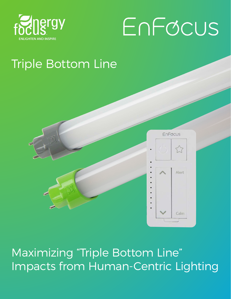

# EnFocus

 $\overline{L}$ 

Alert

Calm

# Triple Bottom Line



Maximizing "Triple Bottom Line" Impacts from Human-Centric Lighting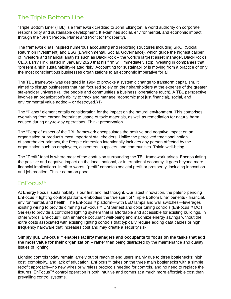# The Triple Bottom Line

"Triple Bottom Line" (TBL) is a framework credited to John Elkington, a world authority on corporate responsibility and sustainable development. It examines social, environmental, and economic impact through the "3Ps": People, Planet and Profit (or Prosperity).

The framework has inspired numerous accounting and reporting structures including SROI (Social Return on Investment) and ESG (Environmental, Social, Governance), which guide the highest caliber of investors and financial analysts such as BlackRock – the world's largest asset manager. BlackRock's CEO, Larry Fink, stated in January 2020 that his firm will immediately stop investing in companies that "present a high sustainability-related risk." Accounting for sustainability is moving from a practice of only the most conscientious businesses organizations to an economic imperative for all.

The TBL framework was designed in 1984 to provoke a systemic change to transform capitalism. It aimed to disrupt businesses that had focused solely on their shareholders at the expense of the greater stakeholder universe (all the people and communities a business' operations touch). A TBL perspective involves an organization's ability to track and manage "economic (not just financial), social, and environmental value added – or destroyed."(1)

The "Planet" element entails consideration for the impact on the natural environment. This comprises everything from carbon footprint to usage of toxic materials, as well as remediation for natural harm caused during day-to-day operations. Think: preservation.

The "People" aspect of the TBL framework encapsulates the positive and negative impact on an organization or product's most important stakeholders. Unlike the perceived traditional notion of shareholder primacy, the People dimension intentionally includes any person affected by the organization such as employees, customers, suppliers, and communities. Think: well-being.

The "Profit" facet is where most of the confusion surrounding the TBL framework arises. Encapsulating the positive and negative impact on the local, national, or international economy, it goes beyond mere financial implications. In other words, "profit" connotes societal profit or prosperity, including innovation and job creation. Think: common good.

## EnFocus™

At Energy Focus, sustainability is our first and last thought. Our latest innovation, the patent- pending EnFocus™ lighting control platform, embodies the true spirit of "Triple Bottom Line" benefits - financial, environmental, and health. The EnFocus™ platform—with LED lamps and wall switches—leverages existing wiring to provide dimming (EnFocus™ DM Series) and color tuning controls (EnFocus™ DCT Series) to provide a controlled lighting system that is affordable and accessible for existing buildings. In other words, EnFocus™ can enhance occupant well-being and maximize energy savings without the extra costs associated with existing lighting controls that typically require adding data cables or high frequency hardware that increases cost and may create a security risk.

**Simply put, EnFocus™ enables facility managers and occupants to focus on the tasks that add the most value for their organization** – rather than being distracted by the maintenance and quality issues of lighting.

Lighting controls today remain largely out of reach of end users mainly due to three bottlenecks: high cost, complexity, and lack of education. EnFocus™ takes on the three main bottlenecks with a simple retrofit approach—no new wires or wireless protocols needed for controls, and no need to replace the fixtures. EnFocus™ control operation is both intuitive and comes at a much more affordable cost than prevailing control systems.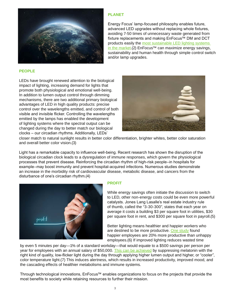

#### **PLANET**

Energy Focus' lamp-focused philosophy enables future, advanced LED upgrades without replacing whole fixtures, avoiding 7-50 times of unnecessary waste generated from fixture replacements and making EnFocus™ DM and DCT products easily the most sustainable LED lighting systems [in the market.](https://energyfocus.com/resource/led-tubes-versus-integrated-led-fixtures/)(2) EnFocus™ can maximize energy savings, sustainability and human health through simple control switch and/or lamp upgrades.

#### **PEOPLE**

LEDs have brought renewed attention to the biological impact of lighting, increasing demand for lights that promote both physiological and emotional well-being. In addition to lumen output control through dimming mechanisms, there are two additional primary biological advantages of LED in high quality products: precise control over the wavelengths emitted, and control of both visible and invisible flicker. Controlling the wavelengths emitted by the lamps has enabled the development of lighting systems where the spectral output can be changed during the day to better match our biological clocks – our circadian rhythms. Additionally, LEDs'



closer match to natural sunlight results in better color differentiation, brighter whites, better color saturation and overall better color vision.(3)

Light has a remarkable capacity to influence well-being. Recent research has shown the disruption of the biological circadian clock leads to a dysregulation of immune responses, which govern the physiological processes that prevent disease. Reinforcing the circadian rhythm of high-risk people–in hospitals for example–may boost immunity and prevent hospital-acquired infections. Numerous studies demonstrate an increase in the morbidity risk of cardiovascular disease, metabolic disease, and cancers from the disturbance of one's circadian rhythm.(4)



#### **PROFIT**

While energy savings often initiate the discussion to switch to LED, other non-energy costs could be even more powerful catalysts. Jones Lang Lasalle's real estate industry rule of thumb, called the "3-30-300", states that each year on average it costs a building \$3 per square foot in utilities, \$30 per square foot in rent, and \$300 per square foot in payroll.(5)

Better lighting means healthier and happier workers who are destined to be more productive. [One study](http://www.smf.co.uk/wp-content/uploads/2015/10/Social-Market-Foundation-Publication-Briefing-CAGE-4-Are-happy-workers-more-productive-281015.pdf#page=9) found happier employees are 20% more productive than unhappy employees.(6) If improved lighting reduces wasted time

by even 5 minutes per day—1% of a standard workday—that would equate to a \$500 savings per person per year for employees with an annual salary of \$50,000. [This can be achieved](http://citeseerx.ist.psu.edu/viewdoc/download?doi=10.1.1.650.5399&rep=rep1&type=pdf) by suppressing melatonin with the right kind of quality, low-flicker light during the day through applying higher lumen output and higher, or "cooler", color temperature light.(7) This induces alertness, which results in increased productivity, improved mood, and the cascading effects of healthier metabolisms and immune systems.

Through technological innovations, EnFocus™ enables organizations to focus on the projects that provide the most benefits to society while retaining resources to further their mission.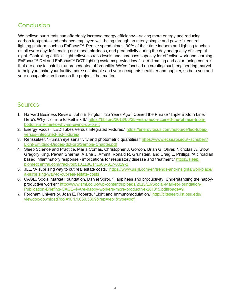# **Conclusion**

We believe our clients can affordably increase energy efficiency—saving more energy and reducing carbon footprint—and enhance employee well-being through an utterly simple and powerful control lighting platform such as EnFocus™. People spend almost 90% of their time indoors and lighting touches us all every day: influencing our mood, alertness, and productivity during the day and quality of sleep at night. Controlling artificial light relieves stress levels and increases capacity for effective work and learning. EnFocus™ DM and EnFocus™ DCT lighting systems provide low-flicker dimming and color tuning controls that are easy to install at unprecedented affordability. We've focused on creating such engineering marvel to help you make your facility more sustainable and your occupants healthier and happier, so both you and your occupants can focus on the projects that matter.

### **Sources**

- 1. Harvard Business Review. John Elikington. "25 Years Ago I Coined the Phrase "Triple Bottom Line." Here's Why It's Time to Rethink It." [https://hbr.org/2018/06/25-years-ago-i-coined-the-phrase-triple](https://hbr.org/2018/06/25-years-ago-i-coined-the-phrase-triple-bottom-line-heres-why-im-giving-up-o)[bottom-line-heres-why-im-giving-up-on-it](https://hbr.org/2018/06/25-years-ago-i-coined-the-phrase-triple-bottom-line-heres-why-im-giving-up-o)
- 2. Energy Focus. "LED Tubes Versus Integrated Fixtures." [https://energyfocus.com/resource/led-tubes-](https://energyfocus.com/resource/led-tubes-versus-integrated-led-fixtures/)LED[versus-integrated-led-fixtures/](https://energyfocus.com/resource/led-tubes-versus-integrated-led-fixtures/)
- 3. Rensselaer. "Human eye sensitivity and photometric quantities." [https://www.ecse.rpi.edu/~schubert/](https://www.ecse.rpi.edu/~schubert/Light-Emitting-Diodes-dot-org/Sample-Chapter.pdf) [Light-Emitting-Diodes-dot-org/Sample-Chapter.pdf](https://www.ecse.rpi.edu/~schubert/Light-Emitting-Diodes-dot-org/Sample-Chapter.pdf)
- 4. Sleep Science and Practice. Maria Comas, Christopher J. Gordon, Brian G. Oliver, Nicholas W. Stow, Gregory King, Pawan Sharma, Alaina J. Ammit, Ronald R. Grunstein, and Craig L. Phillips. "A circadian based inflammatory response - implications for respiratory disease and treatment." [https://sleep.](https://sleep.biomedcentral.com/track/pdf/10.1186/s41606-017-0019-2) [biomedcentral.com/track/pdf/10.1186/s41606-017-0019-2](https://sleep.biomedcentral.com/track/pdf/10.1186/s41606-017-0019-2)
- 5. JLL. "A suprising way to cut real estate costs." [https://www.us.jll.com/en/trends-and-insights/workplace/]( https://www.us.jll.com/en/trends-and-insights/workplace/a-surprising-way-to-cut-real-estate-costs) [a-surprising-way-to-cut-real-estate-costs]( https://www.us.jll.com/en/trends-and-insights/workplace/a-surprising-way-to-cut-real-estate-costs)
- 6. CAGE. Social Market Foundation. Daniel Sgroi. "Happiness and productivity: Understanding the happyproductive worker." [http://www.smf.co.uk/wp-content/uploads/2015/10/Social-Market-Foundation-]( http://www.smf.co.uk/wp-content/uploads/2015/10/Social-Market-Foundation-Publication-Briefing-CAGE-)[Publication-Briefing-CAGE-4-Are-happy-workers-more-productive-281015.pdf#page=9]( http://www.smf.co.uk/wp-content/uploads/2015/10/Social-Market-Foundation-Publication-Briefing-CAGE-)
- 7. Fordham University. Joan E. Roberts. "Light and Immunomodulation." [http://citeseerx.ist.psu.edu/](http://citeseerx.ist.psu.edu/viewdoc/download?doi=10.1.1.650.5399&rep=rep1&type=pdf) [viewdoc/download?doi=10.1.1.650.5399&rep=rep1&type=pdf](http://citeseerx.ist.psu.edu/viewdoc/download?doi=10.1.1.650.5399&rep=rep1&type=pdf)